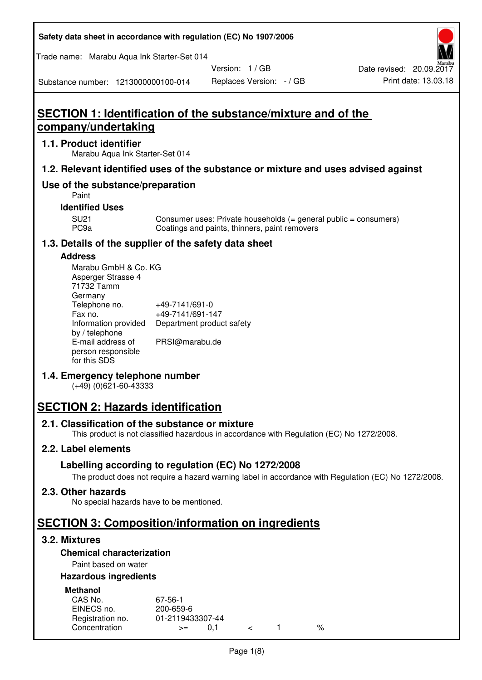Trade name: Marabu Aqua Ink Starter-Set 014

Version: 1 / GB

Substance number: 1213000000100-014

### **SECTION 1: Identification of the substance/mixture and of the company/undertaking**

#### **1.1. Product identifier**

Marabu Aqua Ink Starter-Set 014

#### **1.2. Relevant identified uses of the substance or mixture and uses advised against**

#### **Use of the substance/preparation**

Paint

#### **Identified Uses**

SU21 Consumer uses: Private households (= general public = consumers)<br>PC9a Coatings and paints, thinners, paint removers Coatings and paints, thinners, paint removers

#### **1.3. Details of the supplier of the safety data sheet**

#### **Address**

| Marabu GmbH & Co. KG |                           |
|----------------------|---------------------------|
| Asperger Strasse 4   |                           |
| 71732 Tamm           |                           |
| Germany              |                           |
| Telephone no.        | +49-7141/691-0            |
| Fax no.              | +49-7141/691-147          |
| Information provided | Department product safety |
| by / telephone       |                           |
| E-mail address of    | PRSI@marabu.de            |
| person responsible   |                           |
| for this SDS         |                           |

#### **1.4. Emergency telephone number**

(+49) (0)621-60-43333

### **SECTION 2: Hazards identification**

#### **2.1. Classification of the substance or mixture**

This product is not classified hazardous in accordance with Regulation (EC) No 1272/2008.

#### **2.2. Label elements**

#### **Labelling according to regulation (EC) No 1272/2008**

The product does not require a hazard warning label in accordance with Regulation (EC) No 1272/2008.

#### **2.3. Other hazards**

No special hazards have to be mentioned.

### **SECTION 3: Composition/information on ingredients**

#### **3.2. Mixtures**

#### **Chemical characterization**

#### Paint based on water

#### **Hazardous ingredients**

| <b>Methanol</b>  |                  |  |   |
|------------------|------------------|--|---|
| CAS No.          | 67-56-1          |  |   |
| EINECS no.       | 200-659-6        |  |   |
| Registration no. | 01-2119433307-44 |  |   |
| Concentration    | $>=$             |  | % |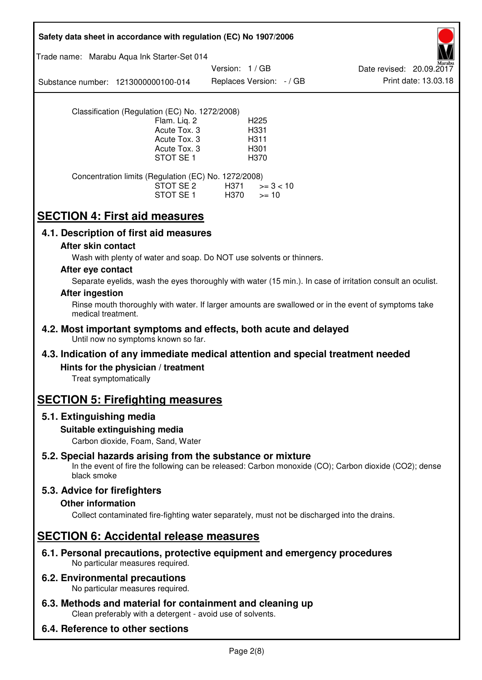| Safety data sheet in accordance with regulation (EC) No 1907/2006                                                                                                                          |
|--------------------------------------------------------------------------------------------------------------------------------------------------------------------------------------------|
| Trade name: Marabu Aqua Ink Starter-Set 014                                                                                                                                                |
| Version: 1 / GB<br>Date revised: 20.09.2017<br>Print date: 13.03.18<br>Replaces Version: - / GB<br>Substance number: 1213000000100-014                                                     |
| Classification (Regulation (EC) No. 1272/2008)<br>Flam. Liq. 2<br>H <sub>225</sub><br>Acute Tox. 3<br>H331<br>Acute Tox. 3<br>H311<br>Acute Tox. 3<br>H301<br>STOT SE <sub>1</sub><br>H370 |
| Concentration limits (Regulation (EC) No. 1272/2008)<br>STOT SE 2<br>H371<br>$>= 3 < 10$<br>STOT SE 1<br>H370<br>$>= 10$                                                                   |
| <b>SECTION 4: First aid measures</b>                                                                                                                                                       |
| 4.1. Description of first aid measures                                                                                                                                                     |
| After skin contact                                                                                                                                                                         |
| Wash with plenty of water and soap. Do NOT use solvents or thinners.<br>After eye contact                                                                                                  |
| Separate eyelids, wash the eyes thoroughly with water (15 min.). In case of irritation consult an oculist.                                                                                 |
| <b>After ingestion</b>                                                                                                                                                                     |
| Rinse mouth thoroughly with water. If larger amounts are swallowed or in the event of symptoms take<br>medical treatment.                                                                  |
| 4.2. Most important symptoms and effects, both acute and delayed<br>Until now no symptoms known so far.                                                                                    |
| 4.3. Indication of any immediate medical attention and special treatment needed                                                                                                            |
| Hints for the physician / treatment<br>Treat symptomatically                                                                                                                               |
|                                                                                                                                                                                            |
| <b>SECTION 5: Firefighting measures</b>                                                                                                                                                    |
| 5.1. Extinguishing media                                                                                                                                                                   |
| Suitable extinguishing media<br>Carbon dioxide, Foam, Sand, Water                                                                                                                          |
| 5.2. Special hazards arising from the substance or mixture<br>In the event of fire the following can be released: Carbon monoxide (CO); Carbon dioxide (CO2); dense<br>black smoke         |
| 5.3. Advice for firefighters                                                                                                                                                               |
| <b>Other information</b><br>Collect contaminated fire-fighting water separately, must not be discharged into the drains.                                                                   |
| <b>SECTION 6: Accidental release measures</b>                                                                                                                                              |
| 6.1. Personal precautions, protective equipment and emergency procedures<br>No particular measures required.                                                                               |
| <b>6.2. Environmental precautions</b><br>No particular measures required.                                                                                                                  |
| 6.3. Methods and material for containment and cleaning up<br>Clean preferably with a detergent - avoid use of solvents.                                                                    |
| 6.4. Reference to other sections                                                                                                                                                           |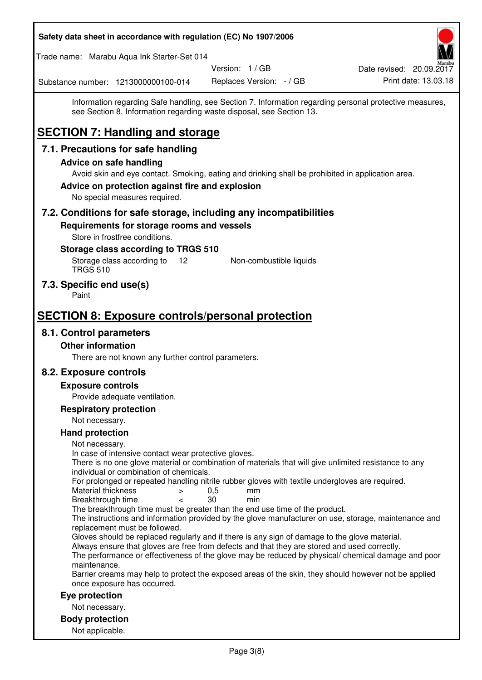| Safety data sheet in accordance with regulation (EC) No 1907/2006                                                                                                                                                         |                          |                          |
|---------------------------------------------------------------------------------------------------------------------------------------------------------------------------------------------------------------------------|--------------------------|--------------------------|
| Trade name: Marabu Aqua Ink Starter-Set 014                                                                                                                                                                               |                          |                          |
|                                                                                                                                                                                                                           | Version: 1/GB            | Date revised: 20.09.2017 |
| Substance number: 1213000000100-014                                                                                                                                                                                       | Replaces Version: - / GB | Print date: 13.03.18     |
| Information regarding Safe handling, see Section 7. Information regarding personal protective measures,<br>see Section 8. Information regarding waste disposal, see Section 13.<br><b>SECTION 7: Handling and storage</b> |                          |                          |
| 7.1. Precautions for safe handling                                                                                                                                                                                        |                          |                          |
| <b>Advice on safe handling</b>                                                                                                                                                                                            |                          |                          |
| Avoid skin and eye contact. Smoking, eating and drinking shall be prohibited in application area.                                                                                                                         |                          |                          |
| Advice on protection against fire and explosion                                                                                                                                                                           |                          |                          |
| No special measures required.                                                                                                                                                                                             |                          |                          |
| 7.2. Conditions for safe storage, including any incompatibilities                                                                                                                                                         |                          |                          |
| Requirements for storage rooms and vessels<br>Store in frostfree conditions.                                                                                                                                              |                          |                          |
| Storage class according to TRGS 510                                                                                                                                                                                       |                          |                          |
| Storage class according to<br>$12 \overline{ }$<br><b>TRGS 510</b>                                                                                                                                                        | Non-combustible liquids  |                          |
| 7.3. Specific end use(s)<br>Paint                                                                                                                                                                                         |                          |                          |
| <b>SECTION 8: Exposure controls/personal protection</b>                                                                                                                                                                   |                          |                          |
| 8.1. Control parameters                                                                                                                                                                                                   |                          |                          |
| <b>Other information</b>                                                                                                                                                                                                  |                          |                          |
| There are not known any further control parameters.                                                                                                                                                                       |                          |                          |
| 8.2. Exposure controls                                                                                                                                                                                                    |                          |                          |
| <b>Exposure controls</b>                                                                                                                                                                                                  |                          |                          |
| Provide adequate ventilation.                                                                                                                                                                                             |                          |                          |
| <b>Respiratory protection</b>                                                                                                                                                                                             |                          |                          |
| Not necessary.                                                                                                                                                                                                            |                          |                          |
| <b>Hand protection</b>                                                                                                                                                                                                    |                          |                          |
| Not necessary.                                                                                                                                                                                                            |                          |                          |
| In case of intensive contact wear protective gloves.<br>There is no one glove material or combination of materials that will give unlimited resistance to any<br>individual or combination of chemicals.                  |                          |                          |
| For prolonged or repeated handling nitrile rubber gloves with textile undergloves are required.<br>Material thickness<br>$\, > \,$                                                                                        | 0,5<br>mm                |                          |
| Breakthrough time<br>$\,<\,$                                                                                                                                                                                              | 30<br>min                |                          |
| The breakthrough time must be greater than the end use time of the product.<br>The instructions and information provided by the glove manufacturer on use, storage, maintenance and<br>replacement must be followed.      |                          |                          |
| Gloves should be replaced regularly and if there is any sign of damage to the glove material.                                                                                                                             |                          |                          |
| Always ensure that gloves are free from defects and that they are stored and used correctly.<br>The performance or effectiveness of the glove may be reduced by physical/ chemical damage and poor<br>maintenance.        |                          |                          |
| Barrier creams may help to protect the exposed areas of the skin, they should however not be applied<br>once exposure has occurred.                                                                                       |                          |                          |
| Eye protection                                                                                                                                                                                                            |                          |                          |
| Not necessary.                                                                                                                                                                                                            |                          |                          |
| <b>Body protection</b>                                                                                                                                                                                                    |                          |                          |
| Not applicable.                                                                                                                                                                                                           |                          |                          |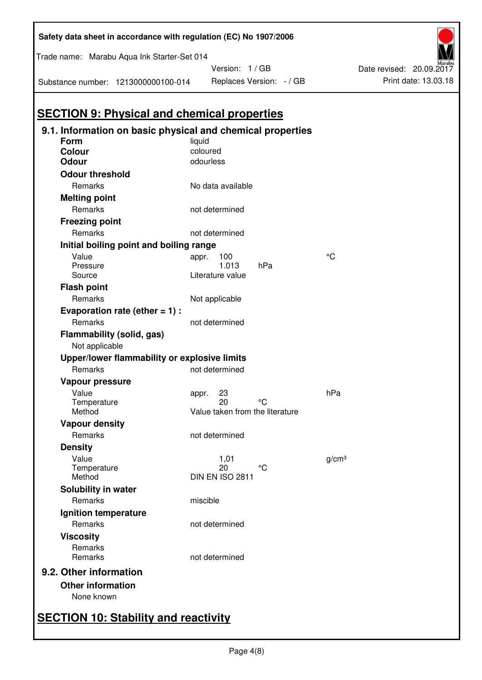| Trade name: Marabu Aqua Ink Starter-Set 014        |                                                            |                       |                                             |                                 |                   |
|----------------------------------------------------|------------------------------------------------------------|-----------------------|---------------------------------------------|---------------------------------|-------------------|
|                                                    |                                                            |                       | Version: 1 / GB<br>Replaces Version: - / GB |                                 |                   |
| Substance number: 1213000000100-014                |                                                            |                       |                                             |                                 |                   |
|                                                    |                                                            |                       |                                             |                                 |                   |
| <b>SECTION 9: Physical and chemical properties</b> |                                                            |                       |                                             |                                 |                   |
|                                                    | 9.1. Information on basic physical and chemical properties |                       |                                             |                                 |                   |
| Form                                               |                                                            | liquid                |                                             |                                 |                   |
| Colour                                             |                                                            | coloured<br>odourless |                                             |                                 |                   |
| <b>Odour</b>                                       |                                                            |                       |                                             |                                 |                   |
| <b>Odour threshold</b>                             |                                                            |                       |                                             |                                 |                   |
| Remarks                                            |                                                            |                       | No data available                           |                                 |                   |
| <b>Melting point</b>                               |                                                            |                       |                                             |                                 |                   |
| Remarks                                            |                                                            |                       | not determined                              |                                 |                   |
| <b>Freezing point</b>                              |                                                            |                       |                                             |                                 |                   |
| Remarks                                            |                                                            |                       | not determined                              |                                 |                   |
|                                                    | Initial boiling point and boiling range                    |                       |                                             |                                 |                   |
| Value<br>Pressure                                  |                                                            | appr.                 | 100<br>1.013                                | hPa                             | °C                |
| Source                                             |                                                            |                       | Literature value                            |                                 |                   |
| <b>Flash point</b>                                 |                                                            |                       |                                             |                                 |                   |
| Remarks                                            |                                                            |                       | Not applicable                              |                                 |                   |
|                                                    | Evaporation rate (ether $= 1$ ) :                          |                       |                                             |                                 |                   |
| Remarks                                            |                                                            |                       | not determined                              |                                 |                   |
| Flammability (solid, gas)                          |                                                            |                       |                                             |                                 |                   |
| Not applicable                                     |                                                            |                       |                                             |                                 |                   |
|                                                    | Upper/lower flammability or explosive limits               |                       |                                             |                                 |                   |
| Remarks                                            |                                                            |                       | not determined                              |                                 |                   |
| Vapour pressure                                    |                                                            |                       |                                             |                                 |                   |
| Value                                              |                                                            | appr.                 | 23                                          |                                 | hPa               |
| Temperature                                        |                                                            |                       | 20                                          | °C                              |                   |
| Method                                             |                                                            |                       |                                             | Value taken from the literature |                   |
| <b>Vapour density</b>                              |                                                            |                       |                                             |                                 |                   |
| Remarks                                            |                                                            |                       | not determined                              |                                 |                   |
| <b>Density</b>                                     |                                                            |                       |                                             |                                 |                   |
| Value<br>Temperature                               |                                                            |                       | 1,01<br>20                                  | °C                              | g/cm <sup>3</sup> |
| Method                                             |                                                            |                       | <b>DIN EN ISO 2811</b>                      |                                 |                   |
| Solubility in water                                |                                                            |                       |                                             |                                 |                   |
| Remarks                                            |                                                            | miscible              |                                             |                                 |                   |
| Ignition temperature                               |                                                            |                       |                                             |                                 |                   |
| Remarks                                            |                                                            |                       | not determined                              |                                 |                   |
| <b>Viscosity</b>                                   |                                                            |                       |                                             |                                 |                   |
| Remarks                                            |                                                            |                       |                                             |                                 |                   |
| Remarks                                            |                                                            |                       | not determined                              |                                 |                   |
| 9.2. Other information                             |                                                            |                       |                                             |                                 |                   |
| <b>Other information</b>                           |                                                            |                       |                                             |                                 |                   |
| None known                                         |                                                            |                       |                                             |                                 |                   |
|                                                    |                                                            |                       |                                             |                                 |                   |

Print date: 13.03.18

Date revised: 20.09.2017

# **SECTION 10: Stability and reactivity**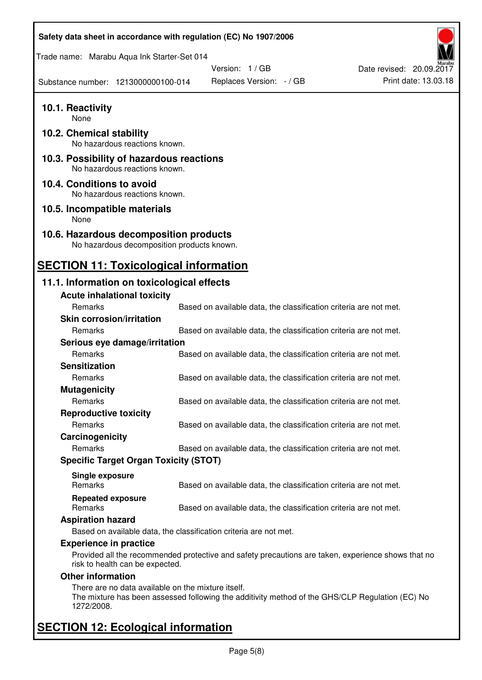| Safety data sheet in accordance with regulation (EC) No 1907/2006                                                                                                   |                          |                                                                   |                          |
|---------------------------------------------------------------------------------------------------------------------------------------------------------------------|--------------------------|-------------------------------------------------------------------|--------------------------|
| Trade name: Marabu Aqua Ink Starter-Set 014                                                                                                                         |                          |                                                                   |                          |
|                                                                                                                                                                     | Version: 1 / GB          |                                                                   | Date revised: 20.09.2017 |
| Substance number: 1213000000100-014                                                                                                                                 | Replaces Version: - / GB |                                                                   | Print date: 13.03.18     |
| 10.1. Reactivity<br>None                                                                                                                                            |                          |                                                                   |                          |
| 10.2. Chemical stability<br>No hazardous reactions known.                                                                                                           |                          |                                                                   |                          |
| 10.3. Possibility of hazardous reactions<br>No hazardous reactions known.                                                                                           |                          |                                                                   |                          |
| 10.4. Conditions to avoid<br>No hazardous reactions known.                                                                                                          |                          |                                                                   |                          |
| 10.5. Incompatible materials<br>None                                                                                                                                |                          |                                                                   |                          |
| 10.6. Hazardous decomposition products<br>No hazardous decomposition products known.                                                                                |                          |                                                                   |                          |
| <b>SECTION 11: Toxicological information</b>                                                                                                                        |                          |                                                                   |                          |
| 11.1. Information on toxicological effects                                                                                                                          |                          |                                                                   |                          |
| <b>Acute inhalational toxicity</b>                                                                                                                                  |                          |                                                                   |                          |
| Remarks                                                                                                                                                             |                          | Based on available data, the classification criteria are not met. |                          |
| <b>Skin corrosion/irritation</b>                                                                                                                                    |                          |                                                                   |                          |
| Remarks                                                                                                                                                             |                          | Based on available data, the classification criteria are not met. |                          |
| Serious eye damage/irritation                                                                                                                                       |                          |                                                                   |                          |
| Remarks                                                                                                                                                             |                          | Based on available data, the classification criteria are not met. |                          |
| <b>Sensitization</b>                                                                                                                                                |                          |                                                                   |                          |
| Remarks                                                                                                                                                             |                          | Based on available data, the classification criteria are not met. |                          |
| <b>Mutagenicity</b>                                                                                                                                                 |                          |                                                                   |                          |
| Remarks                                                                                                                                                             |                          | Based on available data, the classification criteria are not met. |                          |
| <b>Reproductive toxicity</b>                                                                                                                                        |                          |                                                                   |                          |
| Remarks                                                                                                                                                             |                          | Based on available data, the classification criteria are not met. |                          |
| Carcinogenicity                                                                                                                                                     |                          |                                                                   |                          |
| Remarks                                                                                                                                                             |                          | Based on available data, the classification criteria are not met. |                          |
| <b>Specific Target Organ Toxicity (STOT)</b>                                                                                                                        |                          |                                                                   |                          |
| Single exposure                                                                                                                                                     |                          |                                                                   |                          |
| Remarks                                                                                                                                                             |                          | Based on available data, the classification criteria are not met. |                          |
| <b>Repeated exposure</b><br>Remarks                                                                                                                                 |                          | Based on available data, the classification criteria are not met. |                          |
| <b>Aspiration hazard</b>                                                                                                                                            |                          |                                                                   |                          |
| Based on available data, the classification criteria are not met.                                                                                                   |                          |                                                                   |                          |
| <b>Experience in practice</b>                                                                                                                                       |                          |                                                                   |                          |
| Provided all the recommended protective and safety precautions are taken, experience shows that no<br>risk to health can be expected.                               |                          |                                                                   |                          |
| <b>Other information</b>                                                                                                                                            |                          |                                                                   |                          |
| There are no data available on the mixture itself.<br>The mixture has been assessed following the additivity method of the GHS/CLP Regulation (EC) No<br>1272/2008. |                          |                                                                   |                          |
| <b>SECTION 12: Ecological information</b>                                                                                                                           |                          |                                                                   |                          |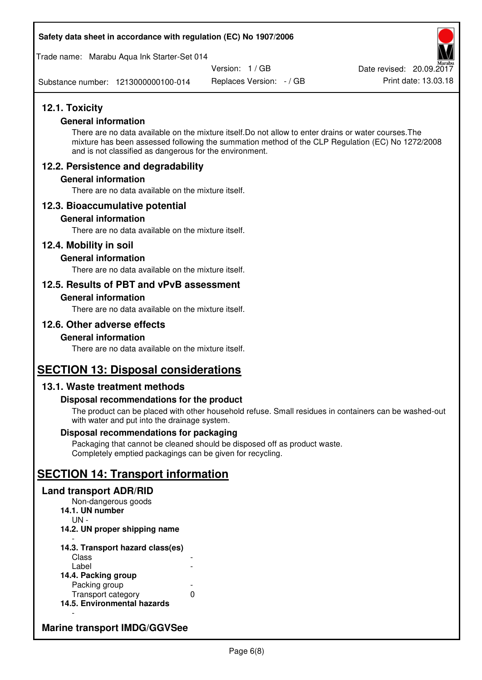Trade name: Marabu Aqua Ink Starter-Set 014

Version: 1 / GB

Replaces Version: - / GB Print date: 13.03.18 Date revised: 20.09.2017

Substance number: 1213000000100-014

### **12.1. Toxicity**

#### **General information**

There are no data available on the mixture itself.Do not allow to enter drains or water courses.The mixture has been assessed following the summation method of the CLP Regulation (EC) No 1272/2008 and is not classified as dangerous for the environment.

#### **12.2. Persistence and degradability**

#### **General information**

There are no data available on the mixture itself.

#### **12.3. Bioaccumulative potential**

#### **General information**

There are no data available on the mixture itself.

#### **12.4. Mobility in soil**

#### **General information**

There are no data available on the mixture itself.

#### **12.5. Results of PBT and vPvB assessment**

#### **General information**

There are no data available on the mixture itself.

#### **12.6. Other adverse effects**

#### **General information**

There are no data available on the mixture itself.

### **SECTION 13: Disposal considerations**

#### **13.1. Waste treatment methods**

#### **Disposal recommendations for the product**

The product can be placed with other household refuse. Small residues in containers can be washed-out with water and put into the drainage system.

#### **Disposal recommendations for packaging**

Packaging that cannot be cleaned should be disposed off as product waste. Completely emptied packagings can be given for recycling.

### **SECTION 14: Transport information**

#### **Land transport ADR/RID**

Non-dangerous goods **14.1. UN number**  UN - **14.2. UN proper shipping name**  -

#### **14.3. Transport hazard class(es) Class** Label

| 14.4. Packing group         |   |
|-----------------------------|---|
| Packing group               |   |
| Transport category          | O |
| 14.5. Environmental hazards |   |

### **Marine transport IMDG/GGVSee**

-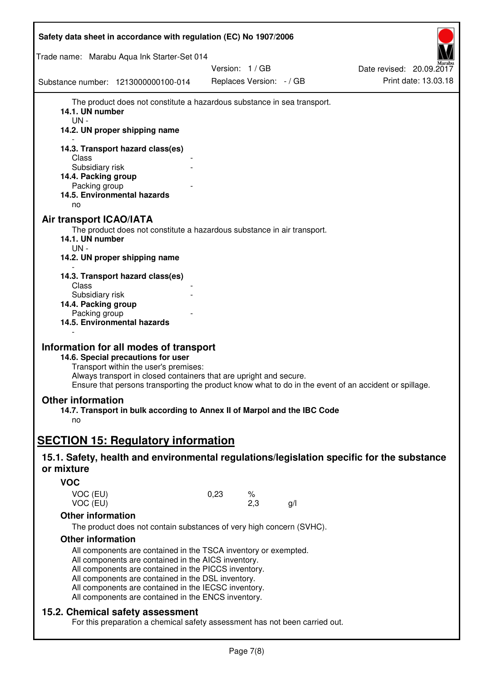| Safety data sheet in accordance with regulation (EC) No 1907/2006                                                                                                                                                                                                                                                                                   |      |                          |     |                          |
|-----------------------------------------------------------------------------------------------------------------------------------------------------------------------------------------------------------------------------------------------------------------------------------------------------------------------------------------------------|------|--------------------------|-----|--------------------------|
| Trade name: Marabu Aqua Ink Starter-Set 014                                                                                                                                                                                                                                                                                                         |      |                          |     |                          |
|                                                                                                                                                                                                                                                                                                                                                     |      | Version: 1 / GB          |     | Date revised: 20.09.2017 |
| Substance number: 1213000000100-014                                                                                                                                                                                                                                                                                                                 |      | Replaces Version: - / GB |     | Print date: 13.03.18     |
| The product does not constitute a hazardous substance in sea transport.<br>14.1. UN number<br>UN-<br>14.2. UN proper shipping name                                                                                                                                                                                                                  |      |                          |     |                          |
| 14.3. Transport hazard class(es)                                                                                                                                                                                                                                                                                                                    |      |                          |     |                          |
| Class<br>Subsidiary risk                                                                                                                                                                                                                                                                                                                            |      |                          |     |                          |
| 14.4. Packing group                                                                                                                                                                                                                                                                                                                                 |      |                          |     |                          |
| Packing group                                                                                                                                                                                                                                                                                                                                       |      |                          |     |                          |
| 14.5. Environmental hazards<br>no                                                                                                                                                                                                                                                                                                                   |      |                          |     |                          |
| <b>Air transport ICAO/IATA</b><br>The product does not constitute a hazardous substance in air transport.<br>14.1. UN number<br>UN-<br>14.2. UN proper shipping name                                                                                                                                                                                |      |                          |     |                          |
| 14.3. Transport hazard class(es)                                                                                                                                                                                                                                                                                                                    |      |                          |     |                          |
| Class<br>Subsidiary risk                                                                                                                                                                                                                                                                                                                            |      |                          |     |                          |
| 14.4. Packing group                                                                                                                                                                                                                                                                                                                                 |      |                          |     |                          |
| Packing group                                                                                                                                                                                                                                                                                                                                       |      |                          |     |                          |
| 14.5. Environmental hazards                                                                                                                                                                                                                                                                                                                         |      |                          |     |                          |
| Information for all modes of transport<br>14.6. Special precautions for user<br>Transport within the user's premises:<br>Always transport in closed containers that are upright and secure.<br>Ensure that persons transporting the product know what to do in the event of an accident or spillage.                                                |      |                          |     |                          |
| <b>Other information</b>                                                                                                                                                                                                                                                                                                                            |      |                          |     |                          |
| 14.7. Transport in bulk according to Annex II of Marpol and the IBC Code                                                                                                                                                                                                                                                                            |      |                          |     |                          |
| no                                                                                                                                                                                                                                                                                                                                                  |      |                          |     |                          |
| <b>SECTION 15: Regulatory information</b>                                                                                                                                                                                                                                                                                                           |      |                          |     |                          |
|                                                                                                                                                                                                                                                                                                                                                     |      |                          |     |                          |
| 15.1. Safety, health and environmental regulations/legislation specific for the substance<br>or mixture                                                                                                                                                                                                                                             |      |                          |     |                          |
| <b>VOC</b>                                                                                                                                                                                                                                                                                                                                          |      |                          |     |                          |
| VOC (EU)                                                                                                                                                                                                                                                                                                                                            | 0,23 | %                        |     |                          |
| VOC (EU)                                                                                                                                                                                                                                                                                                                                            |      | 2,3                      | g/l |                          |
| <b>Other information</b>                                                                                                                                                                                                                                                                                                                            |      |                          |     |                          |
| The product does not contain substances of very high concern (SVHC).                                                                                                                                                                                                                                                                                |      |                          |     |                          |
| <b>Other information</b>                                                                                                                                                                                                                                                                                                                            |      |                          |     |                          |
| All components are contained in the TSCA inventory or exempted.<br>All components are contained in the AICS inventory.<br>All components are contained in the PICCS inventory.<br>All components are contained in the DSL inventory.<br>All components are contained in the IECSC inventory.<br>All components are contained in the ENCS inventory. |      |                          |     |                          |
| 15.2. Chemical safety assessment<br>For this preparation a chemical safety assessment has not been carried out.                                                                                                                                                                                                                                     |      |                          |     |                          |